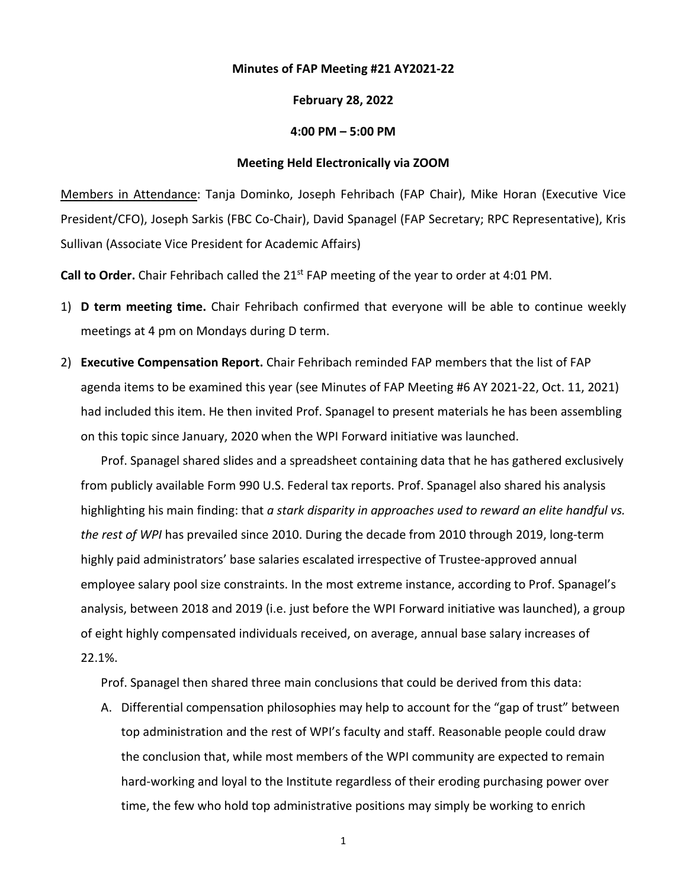## **Minutes of FAP Meeting #21 AY2021-22**

## **February 28, 2022**

## **4:00 PM – 5:00 PM**

## **Meeting Held Electronically via ZOOM**

Members in Attendance: Tanja Dominko, Joseph Fehribach (FAP Chair), Mike Horan (Executive Vice President/CFO), Joseph Sarkis (FBC Co-Chair), David Spanagel (FAP Secretary; RPC Representative), Kris Sullivan (Associate Vice President for Academic Affairs)

Call to Order. Chair Fehribach called the 21<sup>st</sup> FAP meeting of the year to order at 4:01 PM.

- 1) **D term meeting time.** Chair Fehribach confirmed that everyone will be able to continue weekly meetings at 4 pm on Mondays during D term.
- 2) **Executive Compensation Report.** Chair Fehribach reminded FAP members that the list of FAP agenda items to be examined this year (see Minutes of FAP Meeting #6 AY 2021-22, Oct. 11, 2021) had included this item. He then invited Prof. Spanagel to present materials he has been assembling on this topic since January, 2020 when the WPI Forward initiative was launched.

Prof. Spanagel shared slides and a spreadsheet containing data that he has gathered exclusively from publicly available Form 990 U.S. Federal tax reports. Prof. Spanagel also shared his analysis highlighting his main finding: that *a stark disparity in approaches used to reward an elite handful vs. the rest of WPI* has prevailed since 2010. During the decade from 2010 through 2019, long-term highly paid administrators' base salaries escalated irrespective of Trustee-approved annual employee salary pool size constraints. In the most extreme instance, according to Prof. Spanagel's analysis, between 2018 and 2019 (i.e. just before the WPI Forward initiative was launched), a group of eight highly compensated individuals received, on average, annual base salary increases of 22.1%.

Prof. Spanagel then shared three main conclusions that could be derived from this data:

A. Differential compensation philosophies may help to account for the "gap of trust" between top administration and the rest of WPI's faculty and staff. Reasonable people could draw the conclusion that, while most members of the WPI community are expected to remain hard-working and loyal to the Institute regardless of their eroding purchasing power over time, the few who hold top administrative positions may simply be working to enrich

1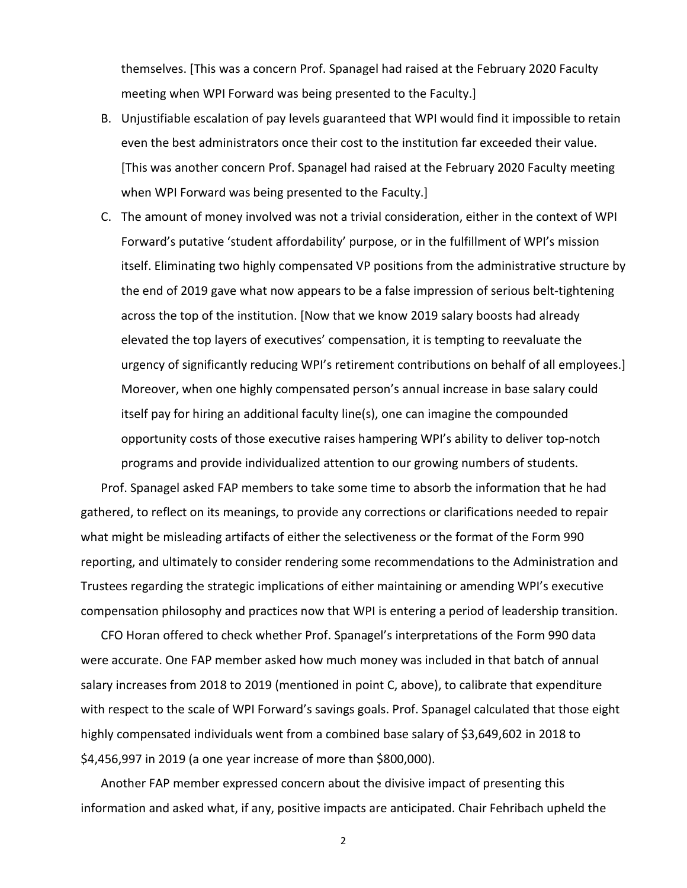themselves. [This was a concern Prof. Spanagel had raised at the February 2020 Faculty meeting when WPI Forward was being presented to the Faculty.]

- B. Unjustifiable escalation of pay levels guaranteed that WPI would find it impossible to retain even the best administrators once their cost to the institution far exceeded their value. [This was another concern Prof. Spanagel had raised at the February 2020 Faculty meeting when WPI Forward was being presented to the Faculty.]
- C. The amount of money involved was not a trivial consideration, either in the context of WPI Forward's putative 'student affordability' purpose, or in the fulfillment of WPI's mission itself. Eliminating two highly compensated VP positions from the administrative structure by the end of 2019 gave what now appears to be a false impression of serious belt-tightening across the top of the institution. [Now that we know 2019 salary boosts had already elevated the top layers of executives' compensation, it is tempting to reevaluate the urgency of significantly reducing WPI's retirement contributions on behalf of all employees.] Moreover, when one highly compensated person's annual increase in base salary could itself pay for hiring an additional faculty line(s), one can imagine the compounded opportunity costs of those executive raises hampering WPI's ability to deliver top-notch programs and provide individualized attention to our growing numbers of students.

Prof. Spanagel asked FAP members to take some time to absorb the information that he had gathered, to reflect on its meanings, to provide any corrections or clarifications needed to repair what might be misleading artifacts of either the selectiveness or the format of the Form 990 reporting, and ultimately to consider rendering some recommendations to the Administration and Trustees regarding the strategic implications of either maintaining or amending WPI's executive compensation philosophy and practices now that WPI is entering a period of leadership transition.

CFO Horan offered to check whether Prof. Spanagel's interpretations of the Form 990 data were accurate. One FAP member asked how much money was included in that batch of annual salary increases from 2018 to 2019 (mentioned in point C, above), to calibrate that expenditure with respect to the scale of WPI Forward's savings goals. Prof. Spanagel calculated that those eight highly compensated individuals went from a combined base salary of \$3,649,602 in 2018 to \$4,456,997 in 2019 (a one year increase of more than \$800,000).

Another FAP member expressed concern about the divisive impact of presenting this information and asked what, if any, positive impacts are anticipated. Chair Fehribach upheld the

2